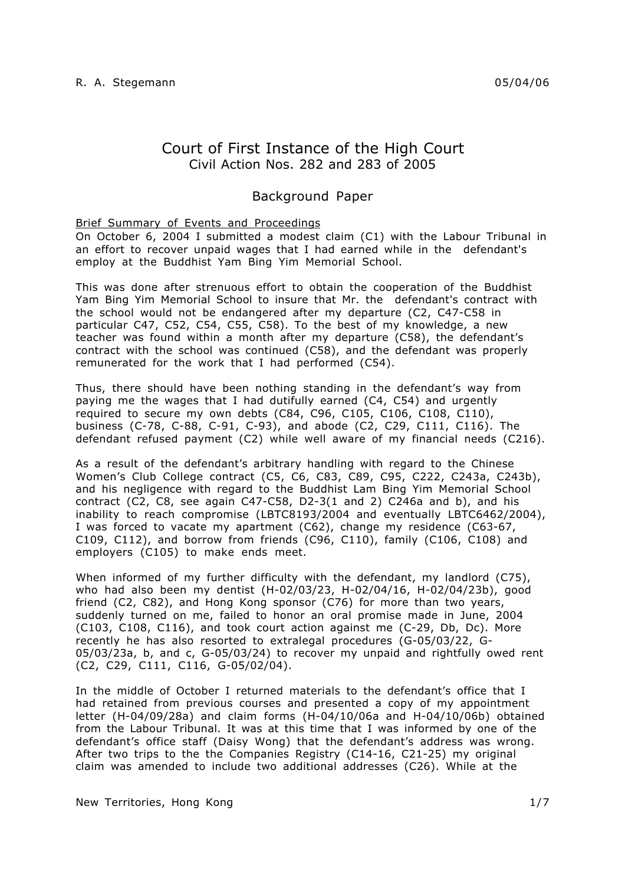# Court of First Instance of the High Court Civil Action Nos. 282 and 283 of 2005

# Background Paper

# Brief Summary of Events and Proceedings

On October 6, 2004 I submitted a modest claim (C1) with the Labour Tribunal in an effort to recover unpaid wages that I had earned while in the defendant's employ at the Buddhist Yam Bing Yim Memorial School.

This was done after strenuous effort to obtain the cooperation of the Buddhist Yam Bing Yim Memorial School to insure that Mr. the defendant's contract with the school would not be endangered after my departure (C2, C47-C58 in particular C47, C52, C54, C55, C58). To the best of my knowledge, a new teacher was found within a month after my departure (C58), the defendant's contract with the school was continued (C58), and the defendant was properly remunerated for the work that I had performed (C54).

Thus, there should have been nothing standing in the defendant's way from paying me the wages that I had dutifully earned (C4, C54) and urgently required to secure my own debts (C84, C96, C105, C106, C108, C110), business (C-78, C-88, C-91, C-93), and abode (C2, C29, C111, C116). The defendant refused payment (C2) while well aware of my financial needs (C216).

As a result of the defendant's arbitrary handling with regard to the Chinese Women's Club College contract (C5, C6, C83, C89, C95, C222, C243a, C243b), and his negligence with regard to the Buddhist Lam Bing Yim Memorial School contract (C2, C8, see again C47-C58, D2-3(1 and 2) C246a and b), and his inability to reach compromise (LBTC8193/2004 and eventually LBTC6462/2004), I was forced to vacate my apartment (C62), change my residence (C63-67, C109, C112), and borrow from friends (C96, C110), family (C106, C108) and employers (C105) to make ends meet.

When informed of my further difficulty with the defendant, my landlord (C75), who had also been my dentist (H-02/03/23, H-02/04/16, H-02/04/23b), good friend (C2, C82), and Hong Kong sponsor (C76) for more than two years, suddenly turned on me, failed to honor an oral promise made in June, 2004 (C103, C108, C116), and took court action against me (C-29, Db, Dc). More recently he has also resorted to extralegal procedures (G-05/03/22, G-05/03/23a, b, and c, G-05/03/24) to recover my unpaid and rightfully owed rent (C2, C29, C111, C116, G-05/02/04).

In the middle of October I returned materials to the defendant's office that I had retained from previous courses and presented a copy of my appointment letter (H-04/09/28a) and claim forms (H-04/10/06a and H-04/10/06b) obtained from the Labour Tribunal. It was at this time that I was informed by one of the defendant's office staff (Daisy Wong) that the defendant's address was wrong. After two trips to the the Companies Registry (C14-16, C21-25) my original claim was amended to include two additional addresses (C26). While at the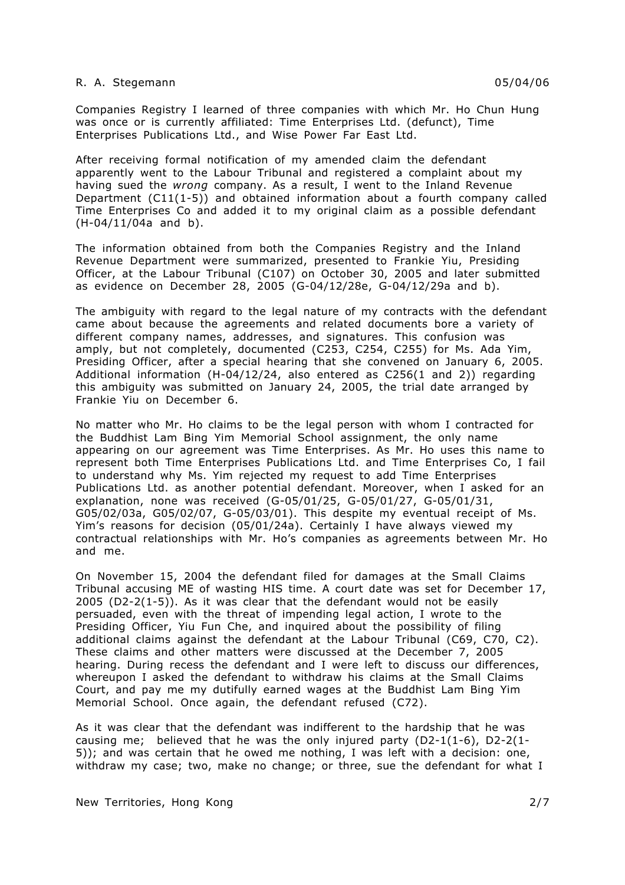Companies Registry I learned of three companies with which Mr. Ho Chun Hung was once or is currently affiliated: Time Enterprises Ltd. (defunct), Time Enterprises Publications Ltd., and Wise Power Far East Ltd.

After receiving formal notification of my amended claim the defendant apparently went to the Labour Tribunal and registered a complaint about my having sued the *wrong* company. As a result, I went to the Inland Revenue Department (C11(1-5)) and obtained information about a fourth company called Time Enterprises Co and added it to my original claim as a possible defendant (H-04/11/04a and b).

The information obtained from both the Companies Registry and the Inland Revenue Department were summarized, presented to Frankie Yiu, Presiding Officer, at the Labour Tribunal (C107) on October 30, 2005 and later submitted as evidence on December 28, 2005 (G-04/12/28e, G-04/12/29a and b).

The ambiguity with regard to the legal nature of my contracts with the defendant came about because the agreements and related documents bore a variety of different company names, addresses, and signatures. This confusion was amply, but not completely, documented (C253, C254, C255) for Ms. Ada Yim, Presiding Officer, after a special hearing that she convened on January 6, 2005. Additional information (H-04/12/24, also entered as C256(1 and 2)) regarding this ambiguity was submitted on January 24, 2005, the trial date arranged by Frankie Yiu on December 6.

No matter who Mr. Ho claims to be the legal person with whom I contracted for the Buddhist Lam Bing Yim Memorial School assignment, the only name appearing on our agreement was Time Enterprises. As Mr. Ho uses this name to represent both Time Enterprises Publications Ltd. and Time Enterprises Co, I fail to understand why Ms. Yim rejected my request to add Time Enterprises Publications Ltd. as another potential defendant. Moreover, when I asked for an explanation, none was received (G-05/01/25, G-05/01/27, G-05/01/31, G05/02/03a, G05/02/07, G-05/03/01). This despite my eventual receipt of Ms. Yim's reasons for decision (05/01/24a). Certainly I have always viewed my contractual relationships with Mr. Ho's companies as agreements between Mr. Ho and me.

On November 15, 2004 the defendant filed for damages at the Small Claims Tribunal accusing ME of wasting HIS time. A court date was set for December 17,  $2005$  (D2-2(1-5)). As it was clear that the defendant would not be easily persuaded, even with the threat of impending legal action, I wrote to the Presiding Officer, Yiu Fun Che, and inquired about the possibility of filing additional claims against the defendant at the Labour Tribunal (C69, C70, C2). These claims and other matters were discussed at the December 7, 2005 hearing. During recess the defendant and I were left to discuss our differences, whereupon I asked the defendant to withdraw his claims at the Small Claims Court, and pay me my dutifully earned wages at the Buddhist Lam Bing Yim Memorial School. Once again, the defendant refused (C72).

As it was clear that the defendant was indifferent to the hardship that he was causing me; believed that he was the only injured party  $(D2-1(1-6), D2-2(1-1))$ 5)); and was certain that he owed me nothing, I was left with a decision: one, withdraw my case; two, make no change; or three, sue the defendant for what I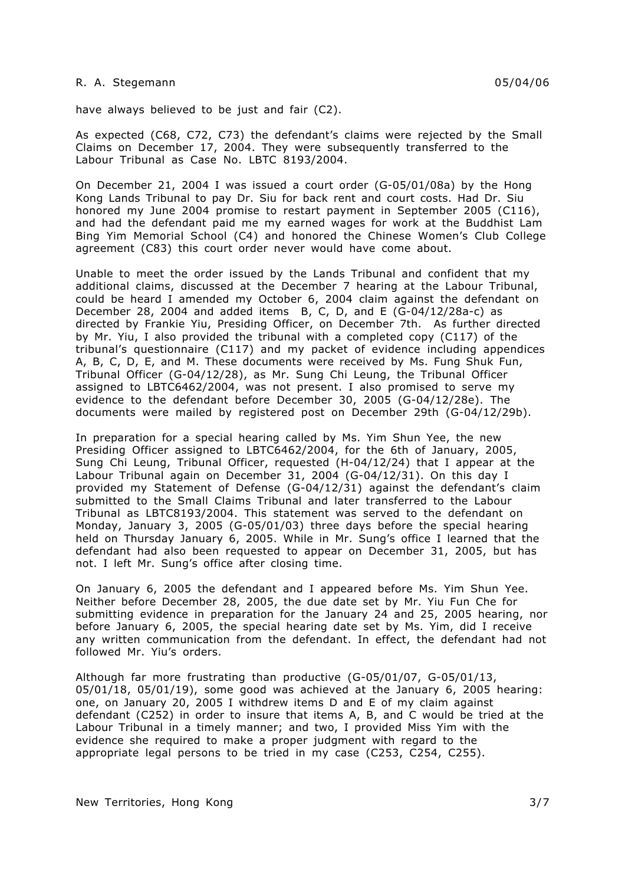have always believed to be just and fair (C2).

As expected (C68, C72, C73) the defendant's claims were rejected by the Small Claims on December 17, 2004. They were subsequently transferred to the Labour Tribunal as Case No. LBTC 8193/2004.

On December 21, 2004 I was issued a court order (G-05/01/08a) by the Hong Kong Lands Tribunal to pay Dr. Siu for back rent and court costs. Had Dr. Siu honored my June 2004 promise to restart payment in September 2005 (C116), and had the defendant paid me my earned wages for work at the Buddhist Lam Bing Yim Memorial School (C4) and honored the Chinese Women's Club College agreement (C83) this court order never would have come about.

Unable to meet the order issued by the Lands Tribunal and confident that my additional claims, discussed at the December 7 hearing at the Labour Tribunal, could be heard I amended my October 6, 2004 claim against the defendant on December 28, 2004 and added items B, C, D, and E (G-04/12/28a-c) as directed by Frankie Yiu, Presiding Officer, on December 7th. As further directed by Mr. Yiu, I also provided the tribunal with a completed copy (C117) of the tribunal's questionnaire (C117) and my packet of evidence including appendices A, B, C, D, E, and M. These documents were received by Ms. Fung Shuk Fun, Tribunal Officer (G-04/12/28), as Mr. Sung Chi Leung, the Tribunal Officer assigned to LBTC6462/2004, was not present. I also promised to serve my evidence to the defendant before December 30, 2005 (G-04/12/28e). The documents were mailed by registered post on December 29th (G-04/12/29b).

In preparation for a special hearing called by Ms. Yim Shun Yee, the new Presiding Officer assigned to LBTC6462/2004, for the 6th of January, 2005, Sung Chi Leung, Tribunal Officer, requested (H-04/12/24) that I appear at the Labour Tribunal again on December 31, 2004 (G-04/12/31). On this day I provided my Statement of Defense (G-04/12/31) against the defendant's claim submitted to the Small Claims Tribunal and later transferred to the Labour Tribunal as LBTC8193/2004. This statement was served to the defendant on Monday, January 3, 2005 (G-05/01/03) three days before the special hearing held on Thursday January 6, 2005. While in Mr. Sung's office I learned that the defendant had also been requested to appear on December 31, 2005, but has not. I left Mr. Sung's office after closing time.

On January 6, 2005 the defendant and I appeared before Ms. Yim Shun Yee. Neither before December 28, 2005, the due date set by Mr. Yiu Fun Che for submitting evidence in preparation for the January 24 and 25, 2005 hearing, nor before January 6, 2005, the special hearing date set by Ms. Yim, did I receive any written communication from the defendant. In effect, the defendant had not followed Mr. Yiu's orders.

Although far more frustrating than productive (G-05/01/07, G-05/01/13, 05/01/18, 05/01/19), some good was achieved at the January 6, 2005 hearing: one, on January 20, 2005 I withdrew items D and E of my claim against defendant (C252) in order to insure that items A, B, and C would be tried at the Labour Tribunal in a timely manner; and two, I provided Miss Yim with the evidence she required to make a proper judgment with regard to the appropriate legal persons to be tried in my case (C253, C254, C255).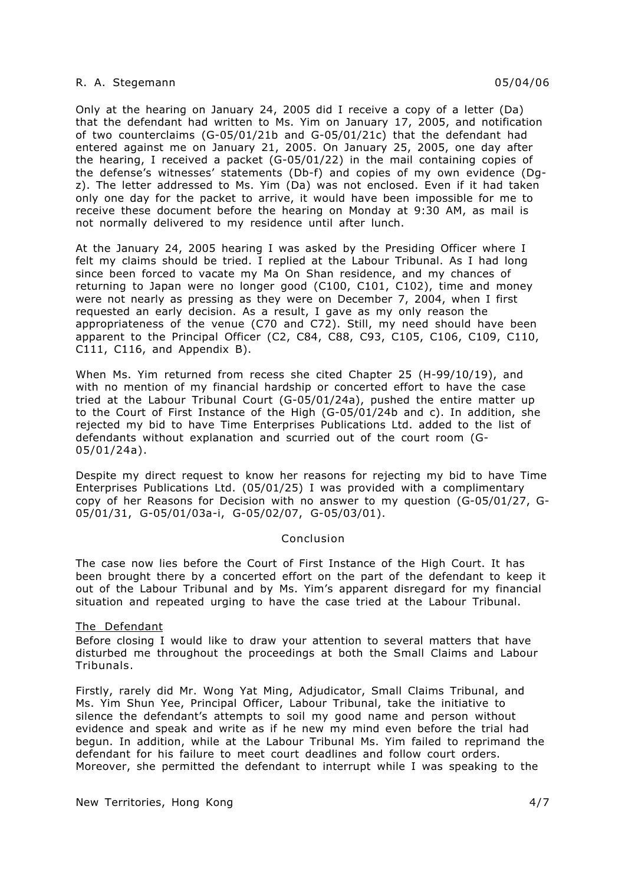Only at the hearing on January 24, 2005 did I receive a copy of a letter (Da) that the defendant had written to Ms. Yim on January 17, 2005, and notification of two counterclaims (G-05/01/21b and G-05/01/21c) that the defendant had entered against me on January 21, 2005. On January 25, 2005, one day after the hearing, I received a packet (G-05/01/22) in the mail containing copies of the defense's witnesses' statements (Db-f) and copies of my own evidence (Dgz). The letter addressed to Ms. Yim (Da) was not enclosed. Even if it had taken only one day for the packet to arrive, it would have been impossible for me to receive these document before the hearing on Monday at 9:30 AM, as mail is not normally delivered to my residence until after lunch.

At the January 24, 2005 hearing I was asked by the Presiding Officer where I felt my claims should be tried. I replied at the Labour Tribunal. As I had long since been forced to vacate my Ma On Shan residence, and my chances of returning to Japan were no longer good (C100, C101, C102), time and money were not nearly as pressing as they were on December 7, 2004, when I first requested an early decision. As a result, I gave as my only reason the appropriateness of the venue (C70 and C72). Still, my need should have been apparent to the Principal Officer (C2, C84, C88, C93, C105, C106, C109, C110, C111, C116, and Appendix B).

When Ms. Yim returned from recess she cited Chapter 25 (H-99/10/19), and with no mention of my financial hardship or concerted effort to have the case tried at the Labour Tribunal Court (G-05/01/24a), pushed the entire matter up to the Court of First Instance of the High (G-05/01/24b and c). In addition, she rejected my bid to have Time Enterprises Publications Ltd. added to the list of defendants without explanation and scurried out of the court room (G-05/01/24a).

Despite my direct request to know her reasons for rejecting my bid to have Time Enterprises Publications Ltd. (05/01/25) I was provided with a complimentary copy of her Reasons for Decision with no answer to my question (G-05/01/27, G-05/01/31, G-05/01/03a-i, G-05/02/07, G-05/03/01).

#### Conclusion

The case now lies before the Court of First Instance of the High Court. It has been brought there by a concerted effort on the part of the defendant to keep it out of the Labour Tribunal and by Ms. Yim's apparent disregard for my financial situation and repeated urging to have the case tried at the Labour Tribunal.

## The Defendant

Before closing I would like to draw your attention to several matters that have disturbed me throughout the proceedings at both the Small Claims and Labour Tribunals.

Firstly, rarely did Mr. Wong Yat Ming, Adjudicator, Small Claims Tribunal, and Ms. Yim Shun Yee, Principal Officer, Labour Tribunal, take the initiative to silence the defendant's attempts to soil my good name and person without evidence and speak and write as if he new my mind even before the trial had begun. In addition, while at the Labour Tribunal Ms. Yim failed to reprimand the defendant for his failure to meet court deadlines and follow court orders. Moreover, she permitted the defendant to interrupt while I was speaking to the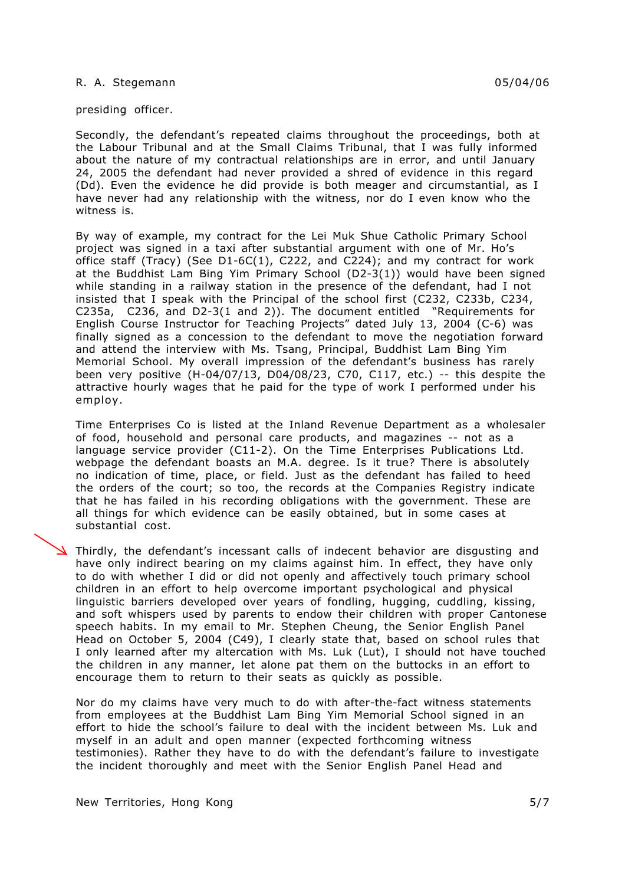presiding officer.

Secondly, the defendant's repeated claims throughout the proceedings, both at the Labour Tribunal and at the Small Claims Tribunal, that I was fully informed about the nature of my contractual relationships are in error, and until January 24, 2005 the defendant had never provided a shred of evidence in this regard (Dd). Even the evidence he did provide is both meager and circumstantial, as I have never had any relationship with the witness, nor do I even know who the witness is.

By way of example, my contract for the Lei Muk Shue Catholic Primary School project was signed in a taxi after substantial argument with one of Mr. Ho's office staff (Tracy) (See D1-6C(1), C222, and C224); and my contract for work at the Buddhist Lam Bing Yim Primary School (D2-3(1)) would have been signed while standing in a railway station in the presence of the defendant, had I not insisted that I speak with the Principal of the school first (C232, C233b, C234, C235a, C236, and D2-3(1 and 2)). The document entitled "Requirements for English Course Instructor for Teaching Projects" dated July 13, 2004 (C-6) was finally signed as a concession to the defendant to move the negotiation forward and attend the interview with Ms. Tsang, Principal, Buddhist Lam Bing Yim Memorial School. My overall impression of the defendant's business has rarely been very positive (H-04/07/13, D04/08/23, C70, C117, etc.) -- this despite the attractive hourly wages that he paid for the type of work I performed under his employ.

Time Enterprises Co is listed at the Inland Revenue Department as a wholesaler of food, household and personal care products, and magazines -- not as a language service provider (C11-2). On the Time Enterprises Publications Ltd. webpage the defendant boasts an M.A. degree. Is it true? There is absolutely no indication of time, place, or field. Just as the defendant has failed to heed the orders of the court; so too, the records at the Companies Registry indicate that he has failed in his recording obligations with the government. These are all things for which evidence can be easily obtained, but in some cases at substantial cost.

Thirdly, the defendant's incessant calls of indecent behavior are disgusting and have only indirect bearing on my claims against him. In effect, they have only to do with whether I did or did not openly and affectively touch primary school children in an effort to help overcome important psychological and physical linguistic barriers developed over years of fondling, hugging, cuddling, kissing, and soft whispers used by parents to endow their children with proper Cantonese speech habits. In my email to Mr. Stephen Cheung, the Senior English Panel Head on October 5, 2004 (C49), I clearly state that, based on school rules that I only learned after my altercation with Ms. Luk (Lut), I should not have touched the children in any manner, let alone pat them on the buttocks in an effort to encourage them to return to their seats as quickly as possible.

Nor do my claims have very much to do with after-the-fact witness statements from employees at the Buddhist Lam Bing Yim Memorial School signed in an effort to hide the school's failure to deal with the incident between Ms. Luk and myself in an adult and open manner (expected forthcoming witness testimonies). Rather they have to do with the defendant's failure to investigate the incident thoroughly and meet with the Senior English Panel Head and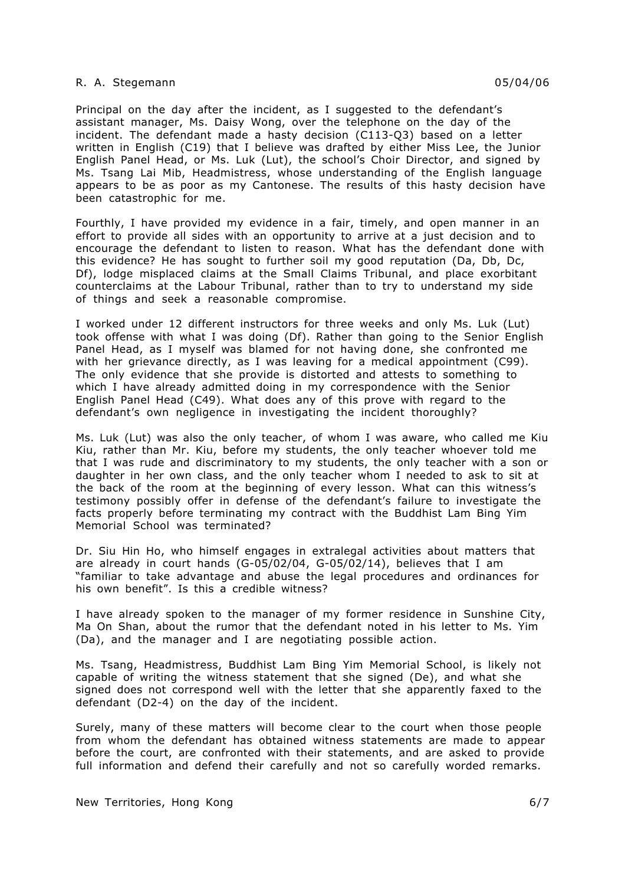Principal on the day after the incident, as I suggested to the defendant's assistant manager, Ms. Daisy Wong, over the telephone on the day of the incident. The defendant made a hasty decision (C113-Q3) based on a letter written in English (C19) that I believe was drafted by either Miss Lee, the Junior English Panel Head, or Ms. Luk (Lut), the school's Choir Director, and signed by Ms. Tsang Lai Mib, Headmistress, whose understanding of the English language appears to be as poor as my Cantonese. The results of this hasty decision have been catastrophic for me.

Fourthly, I have provided my evidence in a fair, timely, and open manner in an effort to provide all sides with an opportunity to arrive at a just decision and to encourage the defendant to listen to reason. What has the defendant done with this evidence? He has sought to further soil my good reputation (Da, Db, Dc, Df), lodge misplaced claims at the Small Claims Tribunal, and place exorbitant counterclaims at the Labour Tribunal, rather than to try to understand my side of things and seek a reasonable compromise.

I worked under 12 different instructors for three weeks and only Ms. Luk (Lut) took offense with what I was doing (Df). Rather than going to the Senior English Panel Head, as I myself was blamed for not having done, she confronted me with her grievance directly, as I was leaving for a medical appointment (C99). The only evidence that she provide is distorted and attests to something to which I have already admitted doing in my correspondence with the Senior English Panel Head (C49). What does any of this prove with regard to the defendant's own negligence in investigating the incident thoroughly?

Ms. Luk (Lut) was also the only teacher, of whom I was aware, who called me Kiu Kiu, rather than Mr. Kiu, before my students, the only teacher whoever told me that I was rude and discriminatory to my students, the only teacher with a son or daughter in her own class, and the only teacher whom I needed to ask to sit at the back of the room at the beginning of every lesson. What can this witness's testimony possibly offer in defense of the defendant's failure to investigate the facts properly before terminating my contract with the Buddhist Lam Bing Yim Memorial School was terminated?

Dr. Siu Hin Ho, who himself engages in extralegal activities about matters that are already in court hands (G-05/02/04, G-05/02/14), believes that I am "familiar to take advantage and abuse the legal procedures and ordinances for his own benefit". Is this a credible witness?

I have already spoken to the manager of my former residence in Sunshine City, Ma On Shan, about the rumor that the defendant noted in his letter to Ms. Yim (Da), and the manager and I are negotiating possible action.

Ms. Tsang, Headmistress, Buddhist Lam Bing Yim Memorial School, is likely not capable of writing the witness statement that she signed (De), and what she signed does not correspond well with the letter that she apparently faxed to the defendant (D2-4) on the day of the incident.

Surely, many of these matters will become clear to the court when those people from whom the defendant has obtained witness statements are made to appear before the court, are confronted with their statements, and are asked to provide full information and defend their carefully and not so carefully worded remarks.